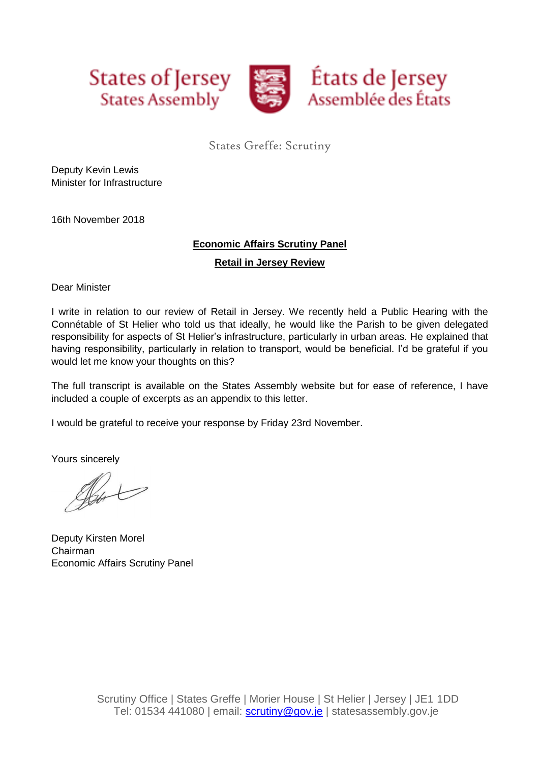

# States Greffe: Scrutiny

Deputy Kevin Lewis Minister for Infrastructure

16th November 2018

## **Economic Affairs Scrutiny Panel**

**Retail in Jersey Review**

Dear Minister

I write in relation to our review of Retail in Jersey. We recently held a Public Hearing with the Connétable of St Helier who told us that ideally, he would like the Parish to be given delegated responsibility for aspects of St Helier's infrastructure, particularly in urban areas. He explained that having responsibility, particularly in relation to transport, would be beneficial. I'd be grateful if you would let me know your thoughts on this?

The full transcript is available on the States Assembly website but for ease of reference, I have included a couple of excerpts as an appendix to this letter.

I would be grateful to receive your response by Friday 23rd November.

Yours sincerely

Sent

Deputy Kirsten Morel Chairman Economic Affairs Scrutiny Panel